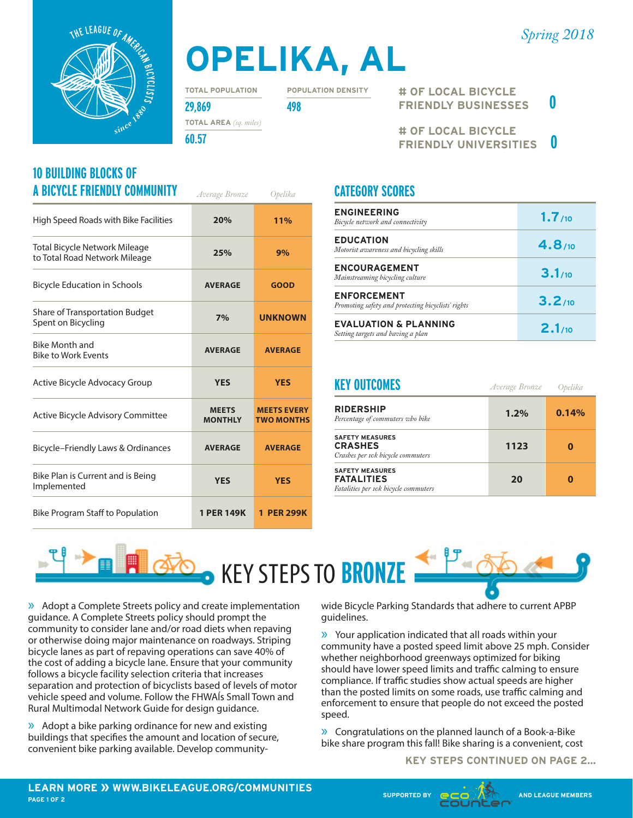



# **OPELIKA, AL**

**TOTAL POPULATION**

**POPULATION DENSITY**

**29,869 498 TOTAL AREA** *(sq. miles)*

**60.57**

#### **10 BUILDING BLOCKS OF A BICYCLE FRIENDLY COMMUNITY** *Average Bronze Opelika*

| High Speed Roads with Bike Facilities                                 | 20%                            | 11%                                     |
|-----------------------------------------------------------------------|--------------------------------|-----------------------------------------|
| <b>Total Bicycle Network Mileage</b><br>to Total Road Network Mileage | 25%                            | 9%                                      |
| <b>Bicycle Education in Schools</b>                                   | <b>AVERAGE</b>                 | <b>GOOD</b>                             |
| Share of Transportation Budget<br>Spent on Bicycling                  | 7%                             | <b>UNKNOWN</b>                          |
| <b>Bike Month and</b><br><b>Bike to Work Events</b>                   | <b>AVERAGE</b>                 | <b>AVERAGE</b>                          |
| Active Bicycle Advocacy Group                                         | <b>YES</b>                     | <b>YES</b>                              |
| <b>Active Bicycle Advisory Committee</b>                              | <b>MEETS</b><br><b>MONTHLY</b> | <b>MEETS EVERY</b><br><b>TWO MONTHS</b> |
| Bicycle-Friendly Laws & Ordinances                                    | <b>AVERAGE</b>                 | <b>AVERAGE</b>                          |
| Bike Plan is Current and is Being<br>Implemented                      | <b>YES</b>                     | <b>YES</b>                              |
| <b>Bike Program Staff to Population</b>                               | <b>1 PER 149K</b>              | 1 PER 299K                              |

**# OF LOCAL BICYCLE FRIENDLY BUSINESSES 0**

**# OF LOCAL BICYCLE FRIENDLY UNIVERSITIES 0**

### **CATEGORY SCORES**

| <b>ENGINEERING</b><br>Bicycle network and connectivity                   | 1.7/10 |
|--------------------------------------------------------------------------|--------|
| <b>EDUCATION</b><br>Motorist awareness and bicycling skills              | 4.8/10 |
| <b>ENCOURAGEMENT</b><br>Mainstreaming bicycling culture                  | 3.1/10 |
| <b>ENFORCEMENT</b><br>Promoting safety and protecting bicyclists' rights | 3.2/10 |
| <b>EVALUATION &amp; PLANNING</b><br>Setting targets and having a plan    | 2.1/10 |

| <b>KEY OUTCOMES</b>                                                                 | Average Bronze | Opelika |  |
|-------------------------------------------------------------------------------------|----------------|---------|--|
| <b>RIDERSHIP</b><br>Percentage of commuters who bike                                | 1.2%           | 0.14%   |  |
| <b>SAFETY MEASURES</b><br><b>CRASHES</b><br>Crashes per 10k bicycle commuters       | 1123           |         |  |
| <b>SAFETY MEASURES</b><br><b>FATALITIES</b><br>Fatalities per 10k bicycle commuters | 20             |         |  |



» Adopt a Complete Streets policy and create implementation guidance. A Complete Streets policy should prompt the community to consider lane and/or road diets when repaving or otherwise doing major maintenance on roadways. Striping bicycle lanes as part of repaving operations can save 40% of the cost of adding a bicycle lane. Ensure that your community follows a bicycle facility selection criteria that increases separation and protection of bicyclists based of levels of motor vehicle speed and volume. Follow the FHWAÍs Small Town and Rural Multimodal Network Guide for design guidance.

» Adopt a bike parking ordinance for new and existing buildings that specifies the amount and location of secure, convenient bike parking available. Develop communitywide Bicycle Parking Standards that adhere to current APBP guidelines.

» Your application indicated that all roads within your community have a posted speed limit above 25 mph. Consider whether neighborhood greenways optimized for biking should have lower speed limits and traffic calming to ensure compliance. If traffic studies show actual speeds are higher than the posted limits on some roads, use traffic calming and enforcement to ensure that people do not exceed the posted speed.

» Congratulations on the planned launch of a Book-a-Bike bike share program this fall! Bike sharing is a convenient, cost

**KEY STEPS CONTINUED ON PAGE 2...**